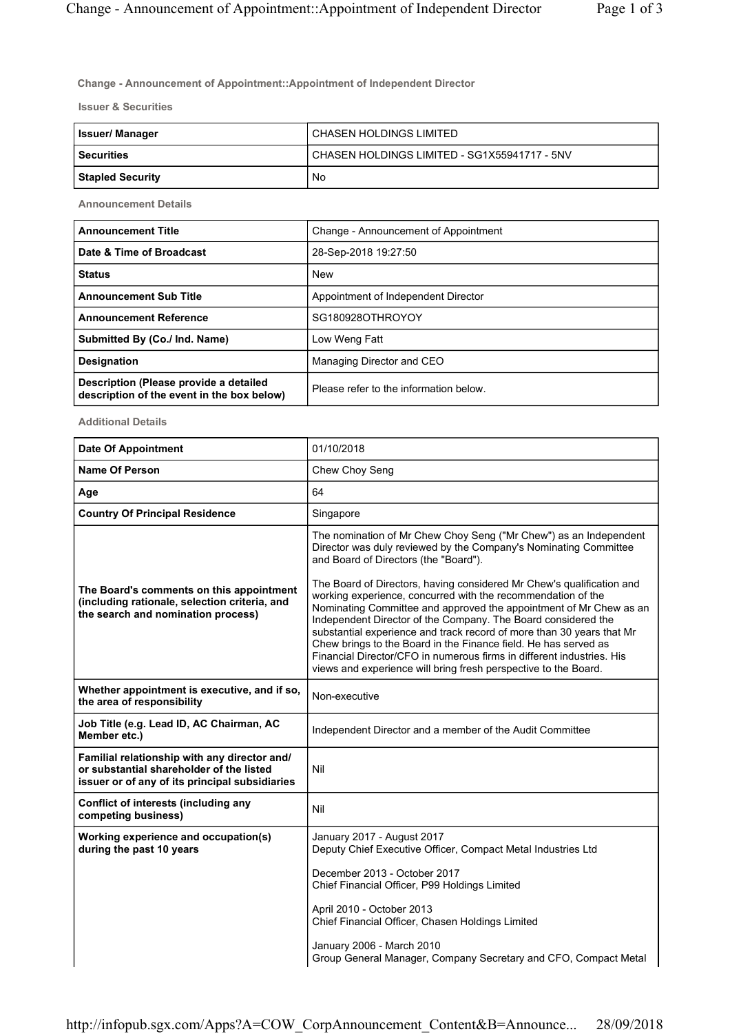**Change - Announcement of Appointment::Appointment of Independent Director**

**Issuer & Securities**

| <b>Issuer/Manager</b>   | ' CHASEN HOLDINGS LIMITED                    |
|-------------------------|----------------------------------------------|
| l Securities            | CHASEN HOLDINGS LIMITED - SG1X55941717 - 5NV |
| <b>Stapled Security</b> | No                                           |

**Announcement Details**

| <b>Announcement Title</b>                                                            | Change - Announcement of Appointment   |
|--------------------------------------------------------------------------------------|----------------------------------------|
| Date & Time of Broadcast                                                             | 28-Sep-2018 19:27:50                   |
| <b>Status</b>                                                                        | New                                    |
| <b>Announcement Sub Title</b>                                                        | Appointment of Independent Director    |
| <b>Announcement Reference</b>                                                        | SG180928OTHROYOY                       |
| Submitted By (Co./ Ind. Name)                                                        | Low Weng Fatt                          |
| <b>Designation</b>                                                                   | Managing Director and CEO              |
| Description (Please provide a detailed<br>description of the event in the box below) | Please refer to the information below. |

**Additional Details**

| <b>Date Of Appointment</b>                                                                                                                 | 01/10/2018                                                                                                                                                                                                                                                                                                                                                                                                                                                                                                                                                           |
|--------------------------------------------------------------------------------------------------------------------------------------------|----------------------------------------------------------------------------------------------------------------------------------------------------------------------------------------------------------------------------------------------------------------------------------------------------------------------------------------------------------------------------------------------------------------------------------------------------------------------------------------------------------------------------------------------------------------------|
| <b>Name Of Person</b>                                                                                                                      | Chew Choy Seng                                                                                                                                                                                                                                                                                                                                                                                                                                                                                                                                                       |
| Age                                                                                                                                        | 64                                                                                                                                                                                                                                                                                                                                                                                                                                                                                                                                                                   |
| <b>Country Of Principal Residence</b>                                                                                                      | Singapore                                                                                                                                                                                                                                                                                                                                                                                                                                                                                                                                                            |
|                                                                                                                                            | The nomination of Mr Chew Choy Seng ("Mr Chew") as an Independent<br>Director was duly reviewed by the Company's Nominating Committee<br>and Board of Directors (the "Board").                                                                                                                                                                                                                                                                                                                                                                                       |
| The Board's comments on this appointment<br>(including rationale, selection criteria, and<br>the search and nomination process)            | The Board of Directors, having considered Mr Chew's qualification and<br>working experience, concurred with the recommendation of the<br>Nominating Committee and approved the appointment of Mr Chew as an<br>Independent Director of the Company. The Board considered the<br>substantial experience and track record of more than 30 years that Mr<br>Chew brings to the Board in the Finance field. He has served as<br>Financial Director/CFO in numerous firms in different industries. His<br>views and experience will bring fresh perspective to the Board. |
| Whether appointment is executive, and if so,<br>the area of responsibility                                                                 | Non-executive                                                                                                                                                                                                                                                                                                                                                                                                                                                                                                                                                        |
| Job Title (e.g. Lead ID, AC Chairman, AC<br>Member etc.)                                                                                   | Independent Director and a member of the Audit Committee                                                                                                                                                                                                                                                                                                                                                                                                                                                                                                             |
| Familial relationship with any director and/<br>or substantial shareholder of the listed<br>issuer or of any of its principal subsidiaries | Nil                                                                                                                                                                                                                                                                                                                                                                                                                                                                                                                                                                  |
| Conflict of interests (including any<br>competing business)                                                                                | Nil                                                                                                                                                                                                                                                                                                                                                                                                                                                                                                                                                                  |
| Working experience and occupation(s)<br>during the past 10 years                                                                           | January 2017 - August 2017<br>Deputy Chief Executive Officer, Compact Metal Industries Ltd                                                                                                                                                                                                                                                                                                                                                                                                                                                                           |
|                                                                                                                                            | December 2013 - October 2017<br>Chief Financial Officer, P99 Holdings Limited                                                                                                                                                                                                                                                                                                                                                                                                                                                                                        |
|                                                                                                                                            | April 2010 - October 2013<br>Chief Financial Officer, Chasen Holdings Limited                                                                                                                                                                                                                                                                                                                                                                                                                                                                                        |
|                                                                                                                                            | January 2006 - March 2010<br>Group General Manager, Company Secretary and CFO, Compact Metal                                                                                                                                                                                                                                                                                                                                                                                                                                                                         |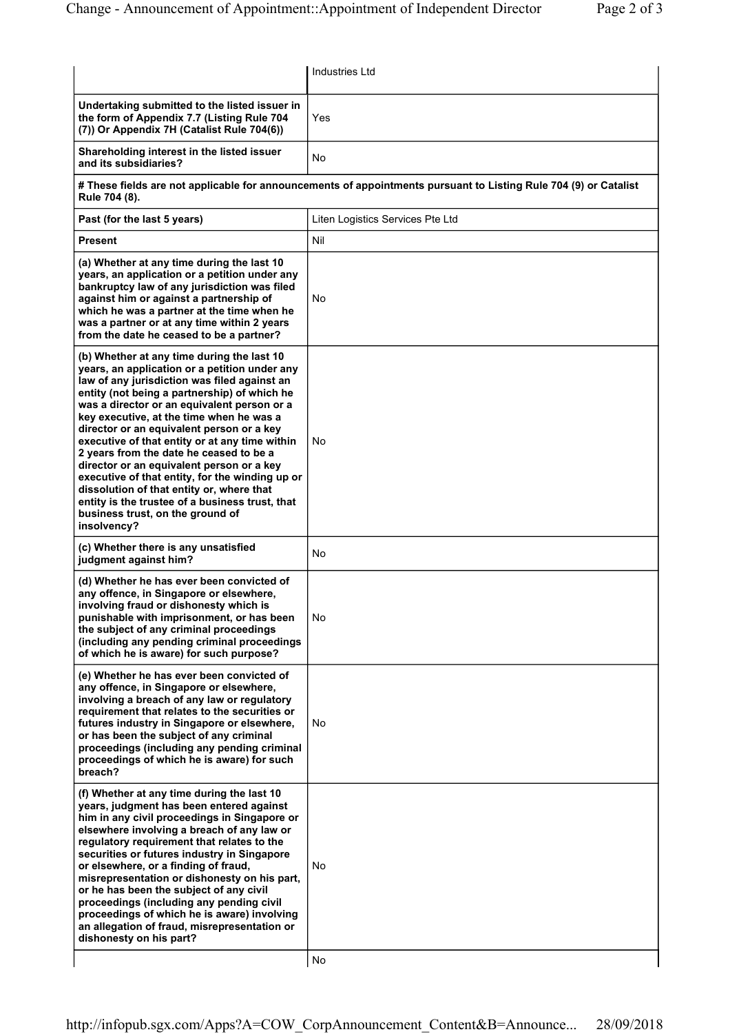|                                                                                                                                                                                                                                                                                                                                                                                                                                                                                                                                                                                                                                                                                     | Industries Ltd                   |
|-------------------------------------------------------------------------------------------------------------------------------------------------------------------------------------------------------------------------------------------------------------------------------------------------------------------------------------------------------------------------------------------------------------------------------------------------------------------------------------------------------------------------------------------------------------------------------------------------------------------------------------------------------------------------------------|----------------------------------|
| Undertaking submitted to the listed issuer in<br>the form of Appendix 7.7 (Listing Rule 704<br>(7)) Or Appendix 7H (Catalist Rule 704(6))                                                                                                                                                                                                                                                                                                                                                                                                                                                                                                                                           | Yes                              |
| Shareholding interest in the listed issuer<br>and its subsidiaries?                                                                                                                                                                                                                                                                                                                                                                                                                                                                                                                                                                                                                 | No                               |
| # These fields are not applicable for announcements of appointments pursuant to Listing Rule 704 (9) or Catalist<br>Rule 704 (8).                                                                                                                                                                                                                                                                                                                                                                                                                                                                                                                                                   |                                  |
| Past (for the last 5 years)                                                                                                                                                                                                                                                                                                                                                                                                                                                                                                                                                                                                                                                         | Liten Logistics Services Pte Ltd |
| Present                                                                                                                                                                                                                                                                                                                                                                                                                                                                                                                                                                                                                                                                             | Nil                              |
| (a) Whether at any time during the last 10<br>years, an application or a petition under any<br>bankruptcy law of any jurisdiction was filed<br>against him or against a partnership of<br>which he was a partner at the time when he<br>was a partner or at any time within 2 years<br>from the date he ceased to be a partner?                                                                                                                                                                                                                                                                                                                                                     | No                               |
| (b) Whether at any time during the last 10<br>years, an application or a petition under any<br>law of any jurisdiction was filed against an<br>entity (not being a partnership) of which he<br>was a director or an equivalent person or a<br>key executive, at the time when he was a<br>director or an equivalent person or a key<br>executive of that entity or at any time within<br>2 years from the date he ceased to be a<br>director or an equivalent person or a key<br>executive of that entity, for the winding up or<br>dissolution of that entity or, where that<br>entity is the trustee of a business trust, that<br>business trust, on the ground of<br>insolvency? | No                               |
| (c) Whether there is any unsatisfied<br>judgment against him?                                                                                                                                                                                                                                                                                                                                                                                                                                                                                                                                                                                                                       | No                               |
| (d) Whether he has ever been convicted of<br>any offence, in Singapore or elsewhere,<br>involving fraud or dishonesty which is<br>punishable with imprisonment, or has been<br>the subject of any criminal proceedings<br>(including any pending criminal proceedings<br>of which he is aware) for such purpose?                                                                                                                                                                                                                                                                                                                                                                    | No                               |
| (e) Whether he has ever been convicted of<br>any offence, in Singapore or elsewhere,<br>involving a breach of any law or regulatory<br>requirement that relates to the securities or<br>futures industry in Singapore or elsewhere,<br>or has been the subject of any criminal<br>proceedings (including any pending criminal<br>proceedings of which he is aware) for such<br>breach?                                                                                                                                                                                                                                                                                              | No                               |
| (f) Whether at any time during the last 10<br>years, judgment has been entered against<br>him in any civil proceedings in Singapore or<br>elsewhere involving a breach of any law or<br>regulatory requirement that relates to the<br>securities or futures industry in Singapore<br>or elsewhere, or a finding of fraud,<br>misrepresentation or dishonesty on his part,<br>or he has been the subject of any civil<br>proceedings (including any pending civil<br>proceedings of which he is aware) involving<br>an allegation of fraud, misrepresentation or<br>dishonesty on his part?                                                                                          | No<br>No                         |
|                                                                                                                                                                                                                                                                                                                                                                                                                                                                                                                                                                                                                                                                                     |                                  |